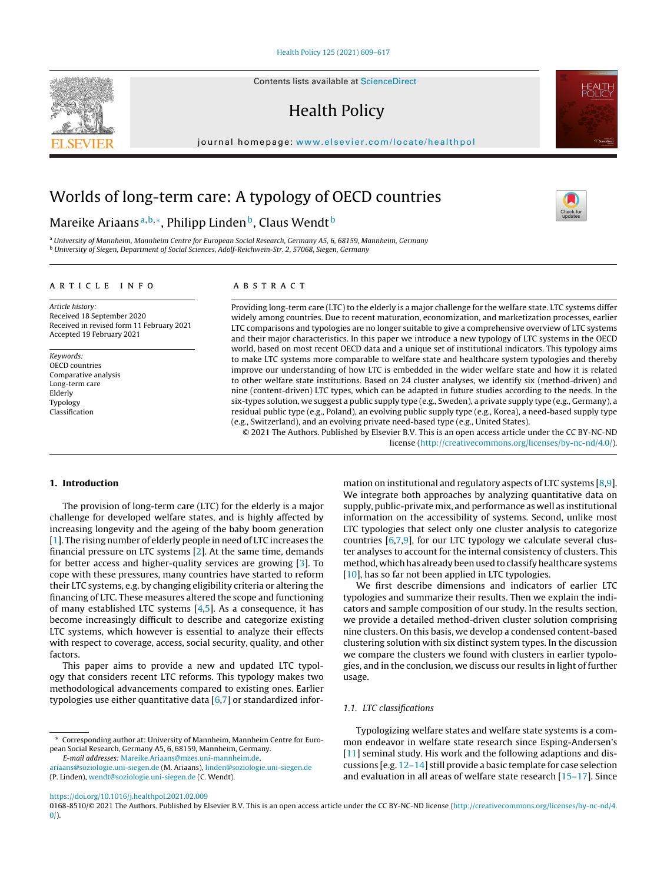Contents lists available at [ScienceDirect](http://www.sciencedirect.com/science/journal/01688510)

# Health Policy

journal homepage: [www.elsevier.com/locate/healthpol](http://www.elsevier.com/locate/healthpol)

## Worlds of long-term care: A typology of OECD countries

## Mareike Ariaans<sup>a, b,</sup>\*, Philipp Linden<sup>b</sup>, Claus Wendt<sup>b</sup>

<sup>a</sup> University of Mannheim, Mannheim Centre for European Social Research, Germany A5, 6, 68159, Mannheim, Germany <sup>b</sup> University of Siegen, Department of Social Sciences, Adolf-Reichwein-Str. 2, 57068, Siegen, Germany

#### a r t i c l e i n f o

Article history: Received 18 September 2020 Received in revised form 11 February 2021 Accepted 19 February 2021

Keywords: OECD countries Comparative analysis Long-term care Elderly Typology Classification

## A B S T R A C T

Providing long-term care (LTC) to the elderly is a major challenge for the welfare state. LTC systems differ widely among countries. Due to recent maturation, economization, and marketization processes, earlier LTC comparisons and typologies are no longer suitable to give a comprehensive overview of LTC systems and their major characteristics. In this paper we introduce a new typology of LTC systems in the OECD world, based on most recent OECD data and a unique set of institutional indicators. This typology aims to make LTC systems more comparable to welfare state and healthcare system typologies and thereby improve our understanding of how LTC is embedded in the wider welfare state and how it is related to other welfare state institutions. Based on 24 cluster analyses, we identify six (method-driven) and nine (content-driven) LTC types, which can be adapted in future studies according to the needs. In the six-types solution, we suggest a public supply type (e.g., Sweden), a private supply type (e.g., Germany), a residual public type (e.g., Poland), an evolving public supply type (e.g., Korea), a need-based supply type (e.g., Switzerland), and an evolving private need-based type (e.g., United States).

© 2021 The Authors. Published by Elsevier B.V. This is an open access article under the CC BY-NC-ND license ([http://creativecommons.org/licenses/by-nc-nd/4.0/\)](http://creativecommons.org/licenses/by-nc-nd/4.0/).

#### **1. Introduction**

The provision of long-term care (LTC) for the elderly is a major challenge for developed welfare states, and is highly affected by increasing longevity and the ageing of the baby boom generation [\[1\].](#page-7-0) The rising number of elderly people in need of LTC increases the financial pressure on LTC systems [[2\].](#page-7-0) At the same time, demands for better access and higher-quality services are growing [\[3\].](#page-7-0) To cope with these pressures, many countries have started to reform their LTC systems, e.g. by changing eligibility criteria or altering the financing of LTC. These measures altered the scope and functioning of many established LTC systems [[4,5\].](#page-7-0) As a consequence, it has become increasingly difficult to describe and categorize existing LTC systems, which however is essential to analyze their effects with respect to coverage, access, social security, quality, and other factors.

This paper aims to provide a new and updated LTC typology that considers recent LTC reforms. This typology makes two methodological advancements compared to existing ones. Earlier typologies use either quantitative data [[6,7\]](#page-7-0) or standardized infor-

E-mail addresses: [Mareike.Ariaans@mzes.uni-mannheim.de,](mailto:Mareike.Ariaans@mzes.uni-mannheim.de)

mation on institutional and regulatory aspects of LTC systems [[8,9\].](#page-7-0) We integrate both approaches by analyzing quantitative data on supply, public-private mix, and performance as well as institutional information on the accessibility of systems. Second, unlike most LTC typologies that select only one cluster analysis to categorize countries [\[6,7,9\],](#page-7-0) for our LTC typology we calculate several cluster analyses to account for the internal consistency of clusters. This method, which has already been used to classify healthcare systems [[10\],](#page-7-0) has so far not been applied in LTC typologies.

We first describe dimensions and indicators of earlier LTC typologies and summarize their results. Then we explain the indicators and sample composition of our study. In the results section, we provide a detailed method-driven cluster solution comprising nine clusters. On this basis, we develop a condensed content-based clustering solution with six distinct system types. In the discussion we compare the clusters we found with clusters in earlier typologies, and in the conclusion, we discuss our results in light of further usage.

### 1.1. LTC classifications

Typologizing welfare states and welfare state systems is a common endeavor in welfare state research since Esping-Andersen's [[11\]](#page-7-0) seminal study. His work and the following adaptions and discussions [e.g. [12–14\]](#page-7-0) still provide a basic template for case selection and evaluation in all areas of welfare state research [[15–17\].](#page-7-0) Since







<sup>∗</sup> Corresponding author at: University of Mannheim, Mannheim Centre for European Social Research, Germany A5, 6, 68159, Mannheim, Germany.

[ariaans@soziologie.uni-siegen.de](mailto:ariaans@soziologie.uni-siegen.de) (M. Ariaans), [linden@soziologie.uni-siegen.de](mailto:linden@soziologie.uni-siegen.de) (P. Linden), [wendt@soziologie.uni-siegen.de](mailto:wendt@soziologie.uni-siegen.de) (C. Wendt).

<sup>0168-8510/© 2021</sup> The Authors. Published by Elsevier B.V. This is an open access article under the CC BY-NC-ND license ([http://creativecommons.org/licenses/by-nc-nd/4.](http://creativecommons.org/licenses/by-nc-nd/4.0/)  $0/$ ).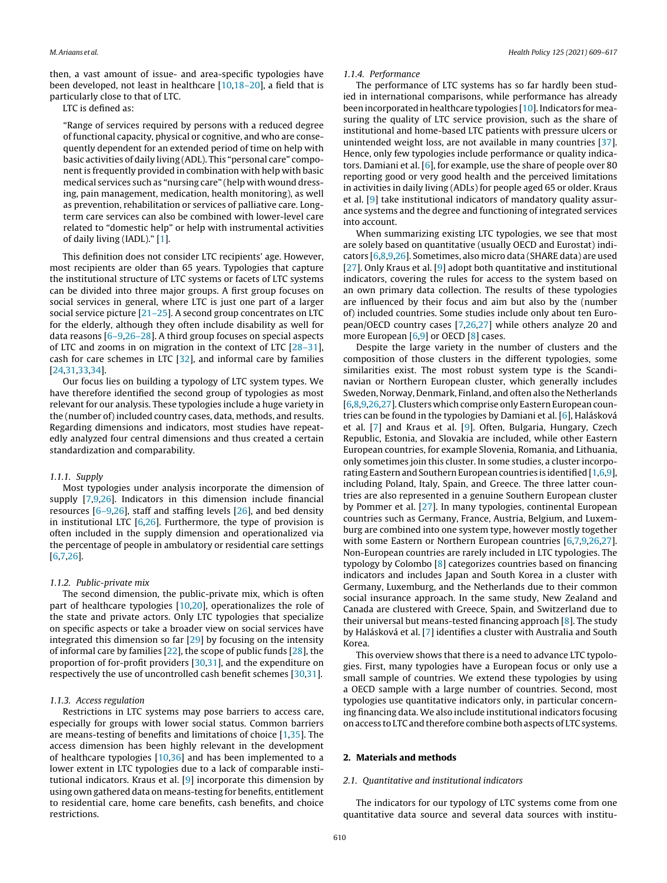then, a vast amount of issue- and area-specific typologies have been developed, not least in healthcare [[10,18–20\],](#page-7-0) a field that is particularly close to that of LTC.

LTC is defined as:

"Range of services required by persons with a reduced degree of functional capacity, physical or cognitive, and who are consequently dependent for an extended period of time on help with basic activities of daily living (ADL). This "personal care" component is frequently provided in combination with help with basic medical services such as "nursing care" (help with wound dressing, pain management, medication, health monitoring), as well as prevention, rehabilitation or services of palliative care. Longterm care services can also be combined with lower-level care related to "domestic help" or help with instrumental activities of daily living (IADL)." [\[1\].](#page-7-0)

This definition does not consider LTC recipients' age. However, most recipients are older than 65 years. Typologies that capture the institutional structure of LTC systems or facets of LTC systems can be divided into three major groups. A first group focuses on social services in general, where LTC is just one part of a larger social service picture [\[21–25\].](#page-7-0) A second group concentrates on LTC for the elderly, although they often include disability as well for data reasons [[6–9,26–28\].](#page-7-0) A third group focuses on special aspects of LTC and zooms in on migration in the context of LTC [[28–31\],](#page-7-0) cash for care schemes in LTC [\[32\],](#page-7-0) and informal care by families [\[24,31,33,34\].](#page-7-0)

Our focus lies on building a typology of LTC system types. We have therefore identified the second group of typologies as most relevant for our analysis. These typologies include a huge variety in the (number of) included country cases, data, methods, and results. Regarding dimensions and indicators, most studies have repeatedly analyzed four central dimensions and thus created a certain standardization and comparability.

## 1.1.1. Supply

Most typologies under analysis incorporate the dimension of supply [[7,9,26\].](#page-7-0) Indicators in this dimension include financial resources  $[6-9,26]$ , staff and staffing levels  $[26]$ , and bed density in institutional LTC  $[6,26]$ . Furthermore, the type of provision is often included in the supply dimension and operationalized via the percentage of people in ambulatory or residential care settings [\[6,7,26\].](#page-7-0)

#### 1.1.2. Public-private mix

The second dimension, the public-private mix, which is often part of healthcare typologies [\[10,20\],](#page-7-0) operationalizes the role of the state and private actors. Only LTC typologies that specialize on specific aspects or take a broader view on social services have integrated this dimension so far [[29\]](#page-7-0) by focusing on the intensity of informal care by families  $[22]$ , the scope of public funds  $[28]$ , the proportion of for-profit providers [\[30,31\],](#page-7-0) and the expenditure on respectively the use of uncontrolled cash benefit schemes [[30,31\].](#page-7-0)

#### 1.1.3. Access regulation

Restrictions in LTC systems may pose barriers to access care, especially for groups with lower social status. Common barriers are means-testing of benefits and limitations of choice [\[1,35\].](#page-7-0) The access dimension has been highly relevant in the development of healthcare typologies [[10,36\]](#page-7-0) and has been implemented to a lower extent in LTC typologies due to a lack of comparable institutional indicators. Kraus et al. [[9\]](#page-7-0) incorporate this dimension by using own gathered data on means-testing for benefits, entitlement to residential care, home care benefits, cash benefits, and choice restrictions.

#### 1.1.4. Performance

The performance of LTC systems has so far hardly been studied in international comparisons, while performance has already been incorporated in healthcare typologies [\[10\].](#page-7-0) Indicators for measuring the quality of LTC service provision, such as the share of institutional and home-based LTC patients with pressure ulcers or unintended weight loss, are not available in many countries [[37\].](#page-7-0) Hence, only few typologies include performance or quality indicators. Damiani et al. [[6\],](#page-7-0) for example, use the share of people over 80 reporting good or very good health and the perceived limitations in activities in daily living (ADLs) for people aged 65 or older. Kraus et al. [\[9\]](#page-7-0) take institutional indicators of mandatory quality assurance systems and the degree and functioning of integrated services into account.

When summarizing existing LTC typologies, we see that most are solely based on quantitative (usually OECD and Eurostat) indicators [\[6,8,9,26\].](#page-7-0) Sometimes, also micro data (SHARE data) are used [[27\].](#page-7-0) Only Kraus et al. [\[9\]](#page-7-0) adopt both quantitative and institutional indicators, covering the rules for access to the system based on an own primary data collection. The results of these typologies are influenced by their focus and aim but also by the (number of) included countries. Some studies include only about ten European/OECD country cases [\[7,26,27\]](#page-7-0) while others analyze 20 and more European [\[6,9\]](#page-7-0) or OECD [[8\]](#page-7-0) cases.

Despite the large variety in the number of clusters and the composition of those clusters in the different typologies, some similarities exist. The most robust system type is the Scandinavian or Northern European cluster, which generally includes Sweden, Norway, Denmark, Finland, and often also the Netherlands [[6,8,9,26,27\].](#page-7-0) Clusters which comprise only Eastern European countries can be found in the typologies by Damiani et al. [[6\],](#page-7-0) Halásková et al. [\[7\]](#page-7-0) and Kraus et al. [[9\].](#page-7-0) Often, Bulgaria, Hungary, Czech Republic, Estonia, and Slovakia are included, while other Eastern European countries, for example Slovenia, Romania, and Lithuania, only sometimes join this cluster. In some studies, a cluster incorporating Eastern and Southern European countries is identified  $[1,6,9]$ , including Poland, Italy, Spain, and Greece. The three latter countries are also represented in a genuine Southern European cluster by Pommer et al. [[27\].](#page-7-0) In many typologies, continental European countries such as Germany, France, Austria, Belgium, and Luxemburg are combined into one system type, however mostly together with some Eastern or Northern European countries [[6,7,9,26,27\].](#page-7-0) Non-European countries are rarely included in LTC typologies. The typology by Colombo [\[8\]](#page-7-0) categorizes countries based on financing indicators and includes Japan and South Korea in a cluster with Germany, Luxemburg, and the Netherlands due to their common social insurance approach. In the same study, New Zealand and Canada are clustered with Greece, Spain, and Switzerland due to their universal but means-tested financing approach [[8\].](#page-7-0) The study by Halásková et al. [\[7\]](#page-7-0) identifies a cluster with Australia and South Korea.

This overview shows that there is a need to advance LTC typologies. First, many typologies have a European focus or only use a small sample of countries. We extend these typologies by using a OECD sample with a large number of countries. Second, most typologies use quantitative indicators only, in particular concerning financing data. We also include institutional indicators focusing on access to LTC and therefore combine both aspects of LTC systems.

## **2. Materials and methods**

#### 2.1. Quantitative and institutional indicators

The indicators for our typology of LTC systems come from one quantitative data source and several data sources with institu-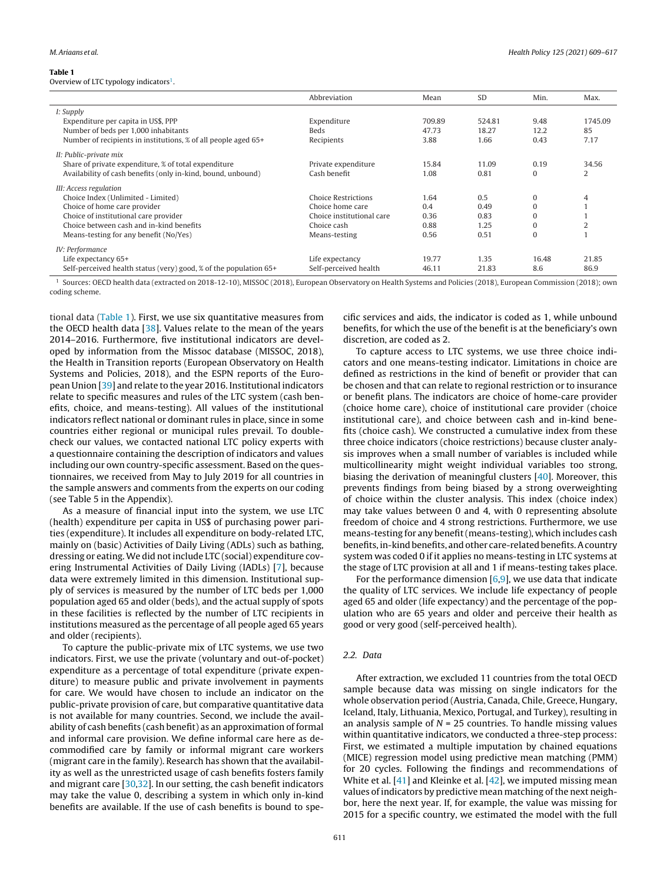#### **Table 1**

Overview of LTC typology indicators<sup>1</sup>.

|                                                                   | Abbreviation               | Mean   | <b>SD</b> | Min.         | Max.    |
|-------------------------------------------------------------------|----------------------------|--------|-----------|--------------|---------|
| I: Supply                                                         |                            |        |           |              |         |
| Expenditure per capita in US\$, PPP                               | Expenditure                | 709.89 | 524.81    | 9.48         | 1745.09 |
| Number of beds per 1,000 inhabitants                              | Beds                       | 47.73  | 18.27     | 12.2         | 85      |
| Number of recipients in institutions, % of all people aged 65+    | Recipients                 | 3.88   | 1.66      | 0.43         | 7.17    |
| II: Public-private mix                                            |                            |        |           |              |         |
| Share of private expenditure, % of total expenditure              | Private expenditure        | 15.84  | 11.09     | 0.19         | 34.56   |
| Availability of cash benefits (only in-kind, bound, unbound)      | Cash benefit               | 1.08   | 0.81      | $\Omega$     | 2       |
| III: Access regulation                                            |                            |        |           |              |         |
| Choice Index (Unlimited - Limited)                                | <b>Choice Restrictions</b> | 1.64   | 0.5       | 0            | 4       |
| Choice of home care provider                                      | Choice home care           | 0.4    | 0.49      | $\Omega$     |         |
| Choice of institutional care provider                             | Choice institutional care  | 0.36   | 0.83      |              |         |
| Choice between cash and in-kind benefits                          | Choice cash                | 0.88   | 1.25      | $\mathbf{0}$ |         |
| Means-testing for any benefit (No/Yes)                            | Means-testing              | 0.56   | 0.51      | $\Omega$     |         |
| IV: Performance                                                   |                            |        |           |              |         |
| Life expectancy 65+                                               | Life expectancy            | 19.77  | 1.35      | 16.48        | 21.85   |
| Self-perceived health status (very) good, % of the population 65+ | Self-perceived health      | 46.11  | 21.83     | 8.6          | 86.9    |

<sup>1</sup> Sources: OECD health data (extracted on 2018-12-10), MISSOC (2018), European Observatory on Health Systems and Policies (2018), European Commission (2018); own coding scheme.

tional data (Table 1). First, we use six quantitative measures from the OECD health data  $[38]$ . Values relate to the mean of the years 2014–2016. Furthermore, five institutional indicators are developed by information from the Missoc database (MISSOC, 2018), the Health in Transition reports (European Observatory on Health Systems and Policies, 2018), and the ESPN reports of the European Union [[39\]](#page-7-0) and relate to the year 2016. Institutional indicators relate to specific measures and rules of the LTC system (cash benefits, choice, and means-testing). All values of the institutional indicators reflect national or dominant rules in place, since in some countries either regional or municipal rules prevail. To doublecheck our values, we contacted national LTC policy experts with a questionnaire containing the description of indicators and values including our own country-specific assessment. Based on the questionnaires, we received from May to July 2019 for all countries in the sample answers and comments from the experts on our coding (see Table 5 in the Appendix).

As a measure of financial input into the system, we use LTC (health) expenditure per capita in US\$ of purchasing power parities (expenditure). It includes all expenditure on body-related LTC, mainly on (basic) Activities of Daily Living (ADLs) such as bathing, dressing or eating. We did not include LTC (social) expenditure covering Instrumental Activities of Daily Living (IADLs) [\[7\],](#page-7-0) because data were extremely limited in this dimension. Institutional supply of services is measured by the number of LTC beds per 1,000 population aged 65 and older (beds), and the actual supply of spots in these facilities is reflected by the number of LTC recipients in institutions measured as the percentage of all people aged 65 years and older (recipients).

To capture the public-private mix of LTC systems, we use two indicators. First, we use the private (voluntary and out-of-pocket) expenditure as a percentage of total expenditure (private expenditure) to measure public and private involvement in payments for care. We would have chosen to include an indicator on the public-private provision of care, but comparative quantitative data is not available for many countries. Second, we include the availability of cash benefits (cash benefit) as an approximation of formal and informal care provision. We define informal care here as decommodified care by family or informal migrant care workers (migrant care in the family). Research has shown that the availability as well as the unrestricted usage of cash benefits fosters family and migrant care [\[30,32\].](#page-7-0) In our setting, the cash benefit indicators may take the value 0, describing a system in which only in-kind benefits are available. If the use of cash benefits is bound to spe-

cific services and aids, the indicator is coded as 1, while unbound benefits, for which the use of the benefit is at the beneficiary's own discretion, are coded as 2.

To capture access to LTC systems, we use three choice indicators and one means-testing indicator. Limitations in choice are defined as restrictions in the kind of benefit or provider that can be chosen and that can relate to regional restriction or to insurance or benefit plans. The indicators are choice of home-care provider (choice home care), choice of institutional care provider (choice institutional care), and choice between cash and in-kind benefits (choice cash). We constructed a cumulative index from these three choice indicators (choice restrictions) because cluster analysis improves when a small number of variables is included while multicollinearity might weight individual variables too strong, biasing the derivation of meaningful clusters [\[40\].](#page-7-0) Moreover, this prevents findings from being biased by a strong overweighting of choice within the cluster analysis. This index (choice index) may take values between 0 and 4, with 0 representing absolute freedom of choice and 4 strong restrictions. Furthermore, we use means-testing for any benefit(means-testing), which includes cash benefits,in-kind benefits, and other care-related benefits.Acountry system was coded 0 if it applies no means-testing in LTC systems at the stage of LTC provision at all and 1 if means-testing takes place.

For the performance dimension  $[6,9]$ , we use data that indicate the quality of LTC services. We include life expectancy of people aged 65 and older (life expectancy) and the percentage of the population who are 65 years and older and perceive their health as good or very good (self-perceived health).

## 2.2. Data

After extraction, we excluded 11 countries from the total OECD sample because data was missing on single indicators for the whole observation period (Austria, Canada, Chile, Greece, Hungary, Iceland, Italy, Lithuania, Mexico, Portugal, and Turkey), resulting in an analysis sample of  $N = 25$  countries. To handle missing values within quantitative indicators, we conducted a three-step process: First, we estimated a multiple imputation by chained equations (MICE) regression model using predictive mean matching (PMM) for 20 cycles. Following the findings and recommendations of White et al. [[41\]](#page-7-0) and Kleinke et al. [[42\],](#page-7-0) we imputed missing mean values of indicators by predictive mean matching of the next neighbor, here the next year. If, for example, the value was missing for 2015 for a specific country, we estimated the model with the full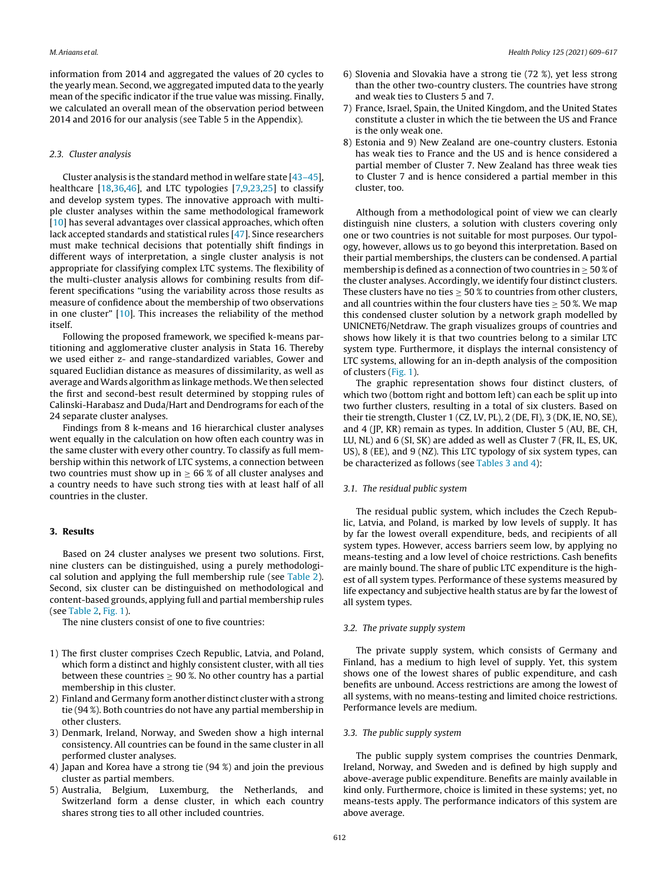information from 2014 and aggregated the values of 20 cycles to the yearly mean. Second, we aggregated imputed data to the yearly mean of the specific indicator if the true value was missing. Finally, we calculated an overall mean of the observation period between 2014 and 2016 for our analysis (see Table 5 in the Appendix).

#### 2.3. Cluster analysis

Cluster analysis is the standard method in welfare state [[43–45\],](#page-8-0) healthcare [\[18,36,](#page-7-0)[46\],](#page-8-0) and LTC typologies [[7,9,23,25\]](#page-7-0) to classify and develop system types. The innovative approach with multiple cluster analyses within the same methodological framework [\[10\]](#page-7-0) has several advantages over classical approaches, which often lack accepted standards and statistical rules [[47\].](#page-8-0) Since researchers must make technical decisions that potentially shift findings in different ways of interpretation, a single cluster analysis is not appropriate for classifying complex LTC systems. The flexibility of the multi-cluster analysis allows for combining results from different specifications "using the variability across those results as measure of confidence about the membership of two observations in one cluster" [\[10\].](#page-7-0) This increases the reliability of the method itself.

Following the proposed framework, we specified k-means partitioning and agglomerative cluster analysis in Stata 16. Thereby we used either z- and range-standardized variables, Gower and squared Euclidian distance as measures of dissimilarity, as well as average andWards algorithm as linkage methods.We then selected the first and second-best result determined by stopping rules of Calinski-Harabasz and Duda/Hart and Dendrograms for each of the 24 separate cluster analyses.

Findings from 8 k-means and 16 hierarchical cluster analyses went equally in the calculation on how often each country was in the same cluster with every other country. To classify as full membership within this network of LTC systems, a connection between two countries must show up in  $> 66 %$  of all cluster analyses and a country needs to have such strong ties with at least half of all countries in the cluster.

## **3. Results**

Based on 24 cluster analyses we present two solutions. First, nine clusters can be distinguished, using a purely methodological solution and applying the full membership rule (see [Table](#page-4-0) 2). Second, six cluster can be distinguished on methodological and content-based grounds, applying full and partial membership rules (see [Table](#page-4-0) 2, [Fig.](#page-4-0) 1).

The nine clusters consist of one to five countries:

- 1) The first cluster comprises Czech Republic, Latvia, and Poland, which form a distinct and highly consistent cluster, with all ties between these countries  $\geq 90$  %. No other country has a partial membership in this cluster.
- 2) Finland and Germany form another distinct cluster with a strong tie (94 %). Both countries do not have any partial membership in other clusters.
- 3) Denmark, Ireland, Norway, and Sweden show a high internal consistency. All countries can be found in the same cluster in all performed cluster analyses.
- 4) Japan and Korea have a strong tie (94 %) and join the previous cluster as partial members.
- 5) Australia, Belgium, Luxemburg, the Netherlands, and Switzerland form a dense cluster, in which each country shares strong ties to all other included countries.
- 6) Slovenia and Slovakia have a strong tie (72 %), yet less strong than the other two-country clusters. The countries have strong and weak ties to Clusters 5 and 7.
- 7) France, Israel, Spain, the United Kingdom, and the United States constitute a cluster in which the tie between the US and France is the only weak one.
- 8) Estonia and 9) New Zealand are one-country clusters. Estonia has weak ties to France and the US and is hence considered a partial member of Cluster 7. New Zealand has three weak ties to Cluster 7 and is hence considered a partial member in this cluster, too.

Although from a methodological point of view we can clearly distinguish nine clusters, a solution with clusters covering only one or two countries is not suitable for most purposes. Our typology, however, allows us to go beyond this interpretation. Based on their partial memberships, the clusters can be condensed. A partial membership is defined as a connection of two countries in  $\geq 50\%$  of the cluster analyses. Accordingly, we identify four distinct clusters. These clusters have no ties  $\geq$  50 % to countries from other clusters, and all countries within the four clusters have ties  $\geq$  50 %. We map this condensed cluster solution by a network graph modelled by UNICNET6/Netdraw. The graph visualizes groups of countries and shows how likely it is that two countries belong to a similar LTC system type. Furthermore, it displays the internal consistency of LTC systems, allowing for an in-depth analysis of the composition of clusters ([Fig.](#page-4-0) 1).

The graphic representation shows four distinct clusters, of which two (bottom right and bottom left) can each be split up into two further clusters, resulting in a total of six clusters. Based on their tie strength, Cluster 1 (CZ, LV, PL), 2 (DE, FI), 3 (DK, IE, NO, SE), and 4 (JP, KR) remain as types. In addition, Cluster 5 (AU, BE, CH, LU, NL) and 6 (SI, SK) are added as well as Cluster 7 (FR, IL, ES, UK, US), 8 (EE), and 9 (NZ). This LTC typology of six system types, can be characterized as follows (see [Tables](#page-5-0) [3](#page-5-0) [and](#page-5-0) [4\):](#page-5-0)

## 3.1. The residual public system

The residual public system, which includes the Czech Republic, Latvia, and Poland, is marked by low levels of supply. It has by far the lowest overall expenditure, beds, and recipients of all system types. However, access barriers seem low, by applying no means-testing and a low level of choice restrictions. Cash benefits are mainly bound. The share of public LTC expenditure is the highest of all system types. Performance of these systems measured by life expectancy and subjective health status are by far the lowest of all system types.

## 3.2. The private supply system

The private supply system, which consists of Germany and Finland, has a medium to high level of supply. Yet, this system shows one of the lowest shares of public expenditure, and cash benefits are unbound. Access restrictions are among the lowest of all systems, with no means-testing and limited choice restrictions. Performance levels are medium.

## 3.3. The public supply system

The public supply system comprises the countries Denmark, Ireland, Norway, and Sweden and is defined by high supply and above-average public expenditure. Benefits are mainly available in kind only. Furthermore, choice is limited in these systems; yet, no means-tests apply. The performance indicators of this system are above average.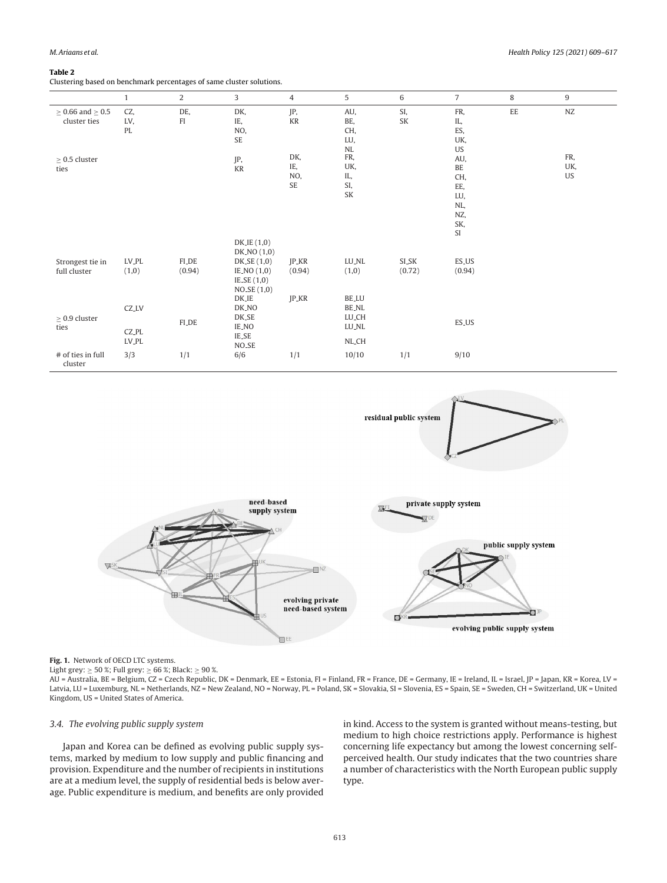<span id="page-4-0"></span>Clustering based on benchmark percentages of same cluster solutions.

|                                            | $\mathbf{1}$                   | $\overline{2}$                | 3                                                                                          | $\overline{4}$            | 5                               | $\,6\,$                | $\overline{7}$                                            | 8  | 9                |
|--------------------------------------------|--------------------------------|-------------------------------|--------------------------------------------------------------------------------------------|---------------------------|---------------------------------|------------------------|-----------------------------------------------------------|----|------------------|
| $\geq$ 0.66 and $\geq$ 0.5<br>cluster ties | CZ,<br>LV,<br>$\rm PL$         | DE,<br>$\mathbb{F}\mathbb{I}$ | DK,<br>IE,<br>NO,<br>SE                                                                    | JP,<br>$\rm KR$           | AU,<br>BE,<br>CH,<br>LU,<br>NL  | SI,<br>SK              | FR,<br>IL,<br>ES,<br>UK,<br><b>US</b>                     | EE | NZ               |
| $\geq$ 0.5 cluster<br>ties                 |                                |                               | JP,<br>KR<br>DK.IE(1,0)<br>DK_NO (1,0)                                                     | DK,<br>IE,<br>NO,<br>SE   | FR,<br>UK,<br>IL,<br>SI,<br>SK  |                        | AU,<br>BE<br>CH,<br>EE,<br>LU,<br>NL,<br>NZ,<br>SK,<br>SI |    | FR,<br>UK,<br>US |
| Strongest tie in<br>full cluster           | LV_PL<br>(1,0)                 | <b>FLDE</b><br>(0.94)         | DKSE(1,0)<br>$IE$ <sub>-NO</sub> $(1,0)$<br>$IE\_SE(1,0)$<br>$NO\_SE(1,0)$<br><b>DK_IE</b> | $IP_K$<br>(0.94)<br>JP_KR | LU_NL<br>(1,0)<br><b>BE_LU</b>  | <b>SI_SK</b><br>(0.72) | ES_US<br>(0.94)                                           |    |                  |
| $\geq$ 0.9 cluster<br>ties                 | <b>CZ_LV</b><br>CZ_PL<br>LV_PL | <b>FLDE</b>                   | DK_NO<br>DK_SE<br>IE_NO<br>IE_SE<br>NO <sub>-SE</sub>                                      |                           | BE_NL<br>LU_CH<br>LU_NL<br>NLCH |                        | ES_US                                                     |    |                  |
| # of ties in full<br>cluster               | 3/3                            | 1/1                           | 6/6                                                                                        | 1/1                       | 10/10                           | 1/1                    | 9/10                                                      |    |                  |



**Fig. 1.** Network of OECD LTC systems.

Light grey:  $\geq 50$  %; Full grey:  $\geq 66$  %; Black:  $\geq 90$  %.

AU = Australia, BE = Belgium, CZ = Czech Republic, DK = Denmark, EE = Estonia, FI = Finland, FR = France, DE = Germany, IE = Ireland, IL = Israel, JP = Japan, KR = Korea, LV = Latvia, LU = Luxemburg, NL = Netherlands, NZ = New Zealand, NO = Norway, PL = Poland, SK = Slovakia, SI = Slovenia, ES = Spain, SE = Sweden, CH = Switzerland, UK = United Kingdom, US = United States of America.

## 3.4. The evolving public supply system

Japan and Korea can be defined as evolving public supply systems, marked by medium to low supply and public financing and provision. Expenditure and the number of recipients in institutions are at a medium level, the supply of residential beds is below average. Public expenditure is medium, and benefits are only provided

in kind. Access to the system is granted without means-testing, but medium to high choice restrictions apply. Performance is highest concerning life expectancy but among the lowest concerning selfperceived health. Our study indicates that the two countries share a number of characteristics with the North European public supply type.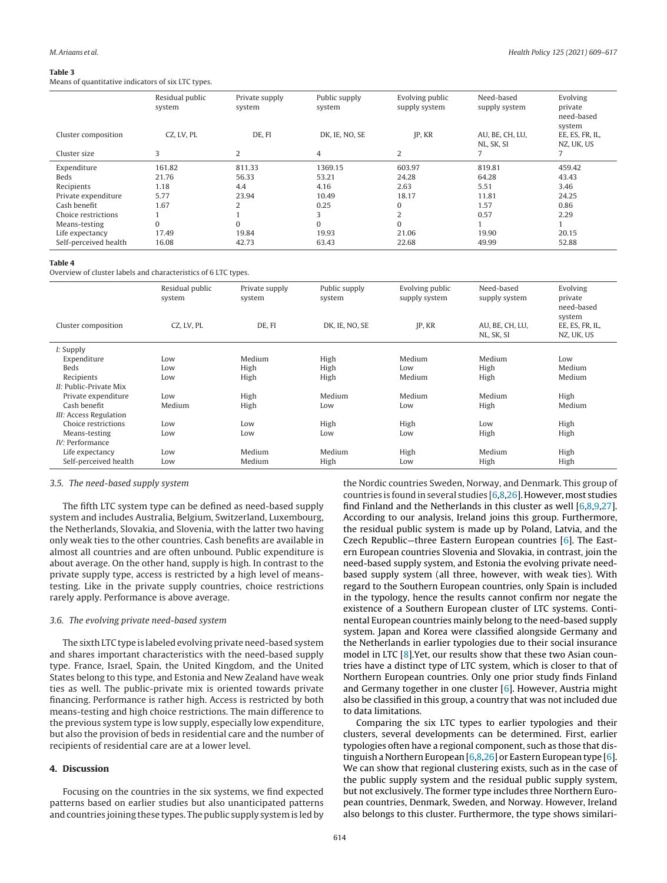#### <span id="page-5-0"></span>**Table 3**

Means of quantitative indicators of six LTC types.

|                       | Residual public<br>system | Private supply<br>system | Public supply<br>system | Evolving public<br>supply system | Need-based<br>supply system   | Evolving<br>private<br>need-based<br>system |
|-----------------------|---------------------------|--------------------------|-------------------------|----------------------------------|-------------------------------|---------------------------------------------|
| Cluster composition   | CZ. LV. PL                | DE, FI                   | DK, IE, NO, SE          | IP, KR                           | AU, BE, CH, LU,<br>NL, SK, SI | EE, ES, FR, IL,<br>NZ, UK, US               |
| Cluster size          | 3                         | 2                        | 4                       | 2                                |                               |                                             |
| Expenditure           | 161.82                    | 811.33                   | 1369.15                 | 603.97                           | 819.81                        | 459.42                                      |
| Beds                  | 21.76                     | 56.33                    | 53.21                   | 24.28                            | 64.28                         | 43.43                                       |
| Recipients            | 1.18                      | 4.4                      | 4.16                    | 2.63                             | 5.51                          | 3.46                                        |
| Private expenditure   | 5.77                      | 23.94                    | 10.49                   | 18.17                            | 11.81                         | 24.25                                       |
| Cash benefit          | 1.67                      | 2                        | 0.25                    | $\Omega$                         | 1.57                          | 0.86                                        |
| Choice restrictions   |                           |                          |                         | 2                                | 0.57                          | 2.29                                        |
| Means-testing         | $\Omega$                  | $\Omega$                 | $\Omega$                |                                  |                               |                                             |
| Life expectancy       | 17.49                     | 19.84                    | 19.93                   | 21.06                            | 19.90                         | 20.15                                       |
| Self-perceived health | 16.08                     | 42.73                    | 63.43                   | 22.68                            | 49.99                         | 52.88                                       |

#### **Table 4**

Overview of cluster labels and characteristics of 6 LTC types.

|                               | Residual public<br>system | Private supply<br>system | Public supply<br>system | Evolving public<br>supply system | Need-based<br>supply system   | Evolving<br>private<br>need-based       |
|-------------------------------|---------------------------|--------------------------|-------------------------|----------------------------------|-------------------------------|-----------------------------------------|
| Cluster composition           | CZ, LV, PL                | DE, FI                   | DK, IE, NO, SE          | IP, KR                           | AU, BE, CH, LU,<br>NL, SK, SI | system<br>EE, ES, FR, IL,<br>NZ, UK, US |
| <i>I:</i> Supply              |                           |                          |                         |                                  |                               |                                         |
| Expenditure                   | Low                       | Medium                   | High                    | Medium                           | Medium                        | Low                                     |
| <b>Beds</b>                   | Low                       | High                     | High                    | Low                              | High                          | Medium                                  |
| Recipients                    | Low                       | High                     | High                    | Medium                           | High                          | Medium                                  |
| <i>II:</i> Public-Private Mix |                           |                          |                         |                                  |                               |                                         |
| Private expenditure           | Low                       | High                     | Medium                  | Medium                           | Medium                        | High                                    |
| Cash benefit                  | Medium                    | High                     | Low                     | Low                              | High                          | Medium                                  |
| III: Access Regulation        |                           |                          |                         |                                  |                               |                                         |
| Choice restrictions           | Low                       | Low                      | High                    | High                             | Low                           | High                                    |
| Means-testing                 | Low                       | Low                      | Low                     | Low                              | High                          | High                                    |
| IV: Performance               |                           |                          |                         |                                  |                               |                                         |
| Life expectancy               | Low                       | Medium                   | Medium                  | High                             | Medium                        | High                                    |
| Self-perceived health         | Low                       | Medium                   | High                    | Low                              | High                          | High                                    |
|                               |                           |                          |                         |                                  |                               |                                         |

#### 3.5. The need-based supply system

The fifth LTC system type can be defined as need-based supply system and includes Australia, Belgium, Switzerland, Luxembourg, the Netherlands, Slovakia, and Slovenia, with the latter two having only weak ties to the other countries. Cash benefits are available in almost all countries and are often unbound. Public expenditure is about average. On the other hand, supply is high. In contrast to the private supply type, access is restricted by a high level of meanstesting. Like in the private supply countries, choice restrictions rarely apply. Performance is above average.

## 3.6. The evolving private need-based system

The sixth LTC type is labeled evolving private need-based system and shares important characteristics with the need-based supply type. France, Israel, Spain, the United Kingdom, and the United States belong to this type, and Estonia and New Zealand have weak ties as well. The public-private mix is oriented towards private financing. Performance is rather high. Access is restricted by both means-testing and high choice restrictions. The main difference to the previous system type is low supply, especially low expenditure, but also the provision of beds in residential care and the number of recipients of residential care are at a lower level.

#### **4. Discussion**

Focusing on the countries in the six systems, we find expected patterns based on earlier studies but also unanticipated patterns and countries joining these types. The public supply systemis led by

the Nordic countries Sweden, Norway, and Denmark. This group of countries is found in several studies  $[6,8,26]$ . However, most studies find Finland and the Netherlands in this cluster as well [\[6,8,9,27\].](#page-7-0) According to our analysis, Ireland joins this group. Furthermore, the residual public system is made up by Poland, Latvia, and the Czech Republic—three Eastern European countries [[6\].](#page-7-0) The Eastern European countries Slovenia and Slovakia, in contrast, join the need-based supply system, and Estonia the evolving private needbased supply system (all three, however, with weak ties). With regard to the Southern European countries, only Spain is included in the typology, hence the results cannot confirm nor negate the existence of a Southern European cluster of LTC systems. Continental European countries mainly belong to the need-based supply system. Japan and Korea were classified alongside Germany and the Netherlands in earlier typologies due to their social insurance model in LTC [\[8\].Y](#page-7-0)et, our results show that these two Asian countries have a distinct type of LTC system, which is closer to that of Northern European countries. Only one prior study finds Finland and Germany together in one cluster [\[6\].](#page-7-0) However, Austria might also be classified in this group, a country that was not included due to data limitations.

Comparing the six LTC types to earlier typologies and their clusters, several developments can be determined. First, earlier typologies often have a regional component, such as those that distinguish a Northern European [\[6,8,26\]](#page-7-0) or Eastern European type [\[6\].](#page-7-0) We can show that regional clustering exists, such as in the case of the public supply system and the residual public supply system, but not exclusively. The former type includes three Northern European countries, Denmark, Sweden, and Norway. However, Ireland also belongs to this cluster. Furthermore, the type shows similari-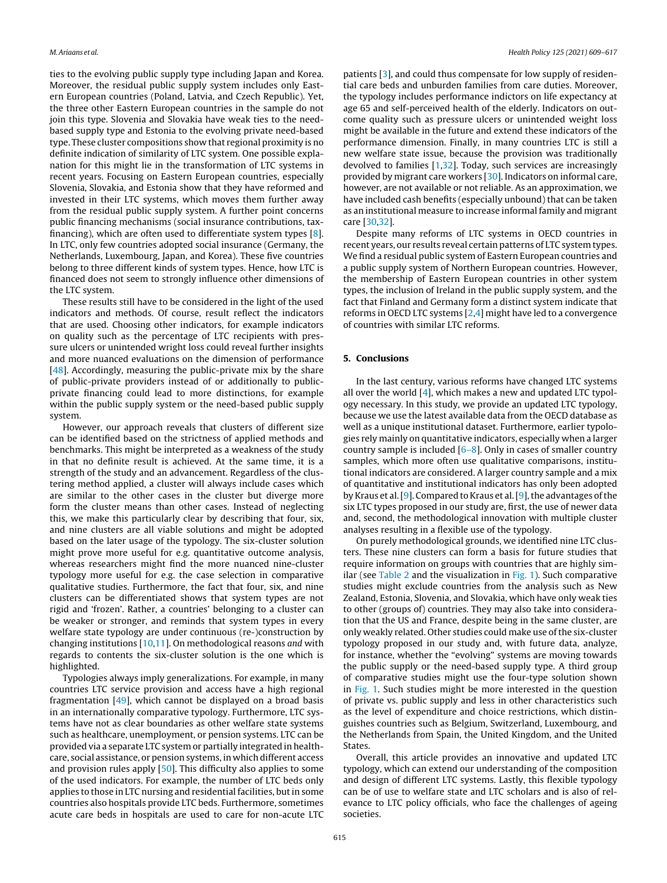ties to the evolving public supply type including Japan and Korea. Moreover, the residual public supply system includes only Eastern European countries (Poland, Latvia, and Czech Republic). Yet, the three other Eastern European countries in the sample do not join this type. Slovenia and Slovakia have weak ties to the needbased supply type and Estonia to the evolving private need-based type. These cluster compositions show that regional proximity is no definite indication of similarity of LTC system. One possible explanation for this might lie in the transformation of LTC systems in recent years. Focusing on Eastern European countries, especially Slovenia, Slovakia, and Estonia show that they have reformed and invested in their LTC systems, which moves them further away from the residual public supply system. A further point concerns public financing mechanisms (social insurance contributions, taxfinancing), which are often used to differentiate system types [[8\].](#page-7-0) In LTC, only few countries adopted social insurance (Germany, the Netherlands, Luxembourg, Japan, and Korea). These five countries belong to three different kinds of system types. Hence, how LTC is financed does not seem to strongly influence other dimensions of the LTC system.

These results still have to be considered in the light of the used indicators and methods. Of course, result reflect the indicators that are used. Choosing other indicators, for example indicators on quality such as the percentage of LTC recipients with pressure ulcers or unintended wright loss could reveal further insights and more nuanced evaluations on the dimension of performance [\[48\].](#page-8-0) Accordingly, measuring the public-private mix by the share of public-private providers instead of or additionally to publicprivate financing could lead to more distinctions, for example within the public supply system or the need-based public supply system.

However, our approach reveals that clusters of different size can be identified based on the strictness of applied methods and benchmarks. This might be interpreted as a weakness of the study in that no definite result is achieved. At the same time, it is a strength of the study and an advancement. Regardless of the clustering method applied, a cluster will always include cases which are similar to the other cases in the cluster but diverge more form the cluster means than other cases. Instead of neglecting this, we make this particularly clear by describing that four, six, and nine clusters are all viable solutions and might be adopted based on the later usage of the typology. The six-cluster solution might prove more useful for e.g. quantitative outcome analysis, whereas researchers might find the more nuanced nine-cluster typology more useful for e.g. the case selection in comparative qualitative studies. Furthermore, the fact that four, six, and nine clusters can be differentiated shows that system types are not rigid and 'frozen'. Rather, a countries' belonging to a cluster can be weaker or stronger, and reminds that system types in every welfare state typology are under continuous (re-)construction by changing institutions [\[10,11\].](#page-7-0) On methodological reasons and with regards to contents the six-cluster solution is the one which is highlighted.

Typologies always imply generalizations. For example, in many countries LTC service provision and access have a high regional fragmentation [[49\],](#page-8-0) which cannot be displayed on a broad basis in an internationally comparative typology. Furthermore, LTC systems have not as clear boundaries as other welfare state systems such as healthcare, unemployment, or pension systems. LTC can be provided via a separate LTC system or partially integrated in healthcare, social assistance, or pension systems, in which different access and provision rules apply [[50\].](#page-8-0) This difficulty also applies to some of the used indicators. For example, the number of LTC beds only applies to those in LTC nursing and residential facilities, but in some countries also hospitals provide LTC beds. Furthermore, sometimes acute care beds in hospitals are used to care for non-acute LTC

patients [[3\],](#page-7-0) and could thus compensate for low supply of residential care beds and unburden families from care duties. Moreover, the typology includes performance indictors on life expectancy at age 65 and self-perceived health of the elderly. Indicators on outcome quality such as pressure ulcers or unintended weight loss might be available in the future and extend these indicators of the performance dimension. Finally, in many countries LTC is still a new welfare state issue, because the provision was traditionally devolved to families [\[1,32\].](#page-7-0) Today, such services are increasingly provided by migrant care workers [[30\].](#page-7-0) Indicators on informal care, however, are not available or not reliable. As an approximation, we have included cash benefits (especially unbound) that can be taken as an institutional measure to increase informal family and migrant care [[30,32\].](#page-7-0)

Despite many reforms of LTC systems in OECD countries in recent years, our results reveal certain patterns of LTC system types. We find a residual public system of Eastern European countries and a public supply system of Northern European countries. However, the membership of Eastern European countries in other system types, the inclusion of Ireland in the public supply system, and the fact that Finland and Germany form a distinct system indicate that reforms in OECD LTC systems [\[2,4\]](#page-7-0) might have led to a convergence of countries with similar LTC reforms.

## **5. Conclusions**

In the last century, various reforms have changed LTC systems all over the world  $[4]$ , which makes a new and updated LTC typology necessary. In this study, we provide an updated LTC typology, because we use the latest available data from the OECD database as well as a unique institutional dataset. Furthermore, earlier typologies rely mainly on quantitative indicators, especially when a larger country sample is included [[6–8\].](#page-7-0) Only in cases of smaller country samples, which more often use qualitative comparisons, institutional indicators are considered. A larger country sample and a mix of quantitative and institutional indicators has only been adopted by Kraus et al. [\[9\].](#page-7-0) Compared to Kraus et al. [[9\],](#page-7-0) the advantages of the six LTC types proposed in our study are, first, the use of newer data and, second, the methodological innovation with multiple cluster analyses resulting in a flexible use of the typology.

On purely methodological grounds, we identified nine LTC clusters. These nine clusters can form a basis for future studies that require information on groups with countries that are highly similar (see [Table](#page-4-0) 2 and the visualization in [Fig.](#page-4-0) 1). Such comparative studies might exclude countries from the analysis such as New Zealand, Estonia, Slovenia, and Slovakia, which have only weak ties to other (groups of) countries. They may also take into consideration that the US and France, despite being in the same cluster, are only weakly related. Other studies could make use of the six-cluster typology proposed in our study and, with future data, analyze, for instance, whether the "evolving" systems are moving towards the public supply or the need-based supply type. A third group of comparative studies might use the four-type solution shown in [Fig.](#page-4-0) 1. Such studies might be more interested in the question of private vs. public supply and less in other characteristics such as the level of expenditure and choice restrictions, which distinguishes countries such as Belgium, Switzerland, Luxembourg, and the Netherlands from Spain, the United Kingdom, and the United States.

Overall, this article provides an innovative and updated LTC typology, which can extend our understanding of the composition and design of different LTC systems. Lastly, this flexible typology can be of use to welfare state and LTC scholars and is also of relevance to LTC policy officials, who face the challenges of ageing societies.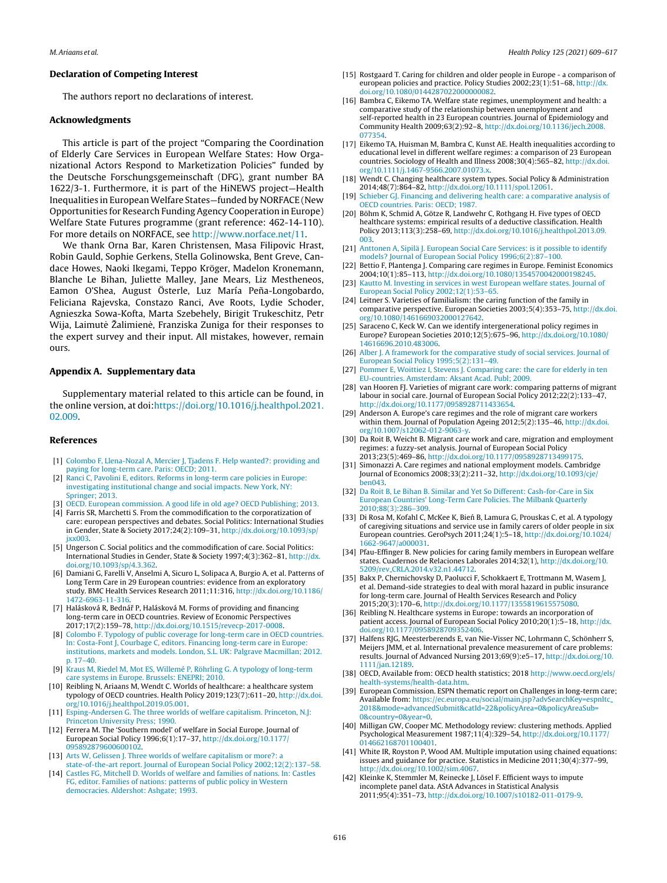#### <span id="page-7-0"></span>**Declaration of Competing Interest**

The authors report no declarations of interest.

#### **Acknowledgments**

This article is part of the project "Comparing the Coordination of Elderly Care Services in European Welfare States: How Organizational Actors Respond to Marketization Policies" funded by the Deutsche Forschungsgemeinschaft (DFG), grant number BA 1622/3-1. Furthermore, it is part of the HiNEWS project—Health Inequalities in EuropeanWelfare States—funded by NORFACE (New Opportunities for Research Funding Agency Cooperation in Europe) Welfare State Futures programme (grant reference: 462-14-110). For more details on NORFACE, see [http://www.norface.net/11.](http://www.norface.net/11)

We thank Orna Bar, Karen Christensen, Masa Filipovic Hrast, Robin Gauld, Sophie Gerkens, Stella Golinowska, Bent Greve, Candace Howes, Naoki Ikegami, Teppo Kröger, Madelon Kronemann, Blanche Le Bihan, Juliette Malley, Jane Mears, Liz Mestheneos, Eamon O'Shea, August Österle, Luz María Peña-Longobardo, Feliciana Rajevska, Constazo Ranci, Ave Roots, Lydie Schoder, Agnieszka Sowa-Kofta, Marta Szebehely, Birigit Trukeschitz, Petr Wija, Laimute Žalimienė, Franziska Zuniga for their responses to the expert survey and their input. All mistakes, however, remain ours.

## **Appendix A. Supplementary data**

Supplementary material related to this article can be found, in the online version, at doi:[https://doi.org/10.1016/j.healthpol.2021.](https://doi.org/10.1016/j.healthpol.2021.02.009) [02.009](https://doi.org/10.1016/j.healthpol.2021.02.009).

#### **References**

- [1] [Colombo](http://refhub.elsevier.com/S0168-8510(21)00052-X/sbref0005) [F,](http://refhub.elsevier.com/S0168-8510(21)00052-X/sbref0005) [Llena-Nozal](http://refhub.elsevier.com/S0168-8510(21)00052-X/sbref0005) [A,](http://refhub.elsevier.com/S0168-8510(21)00052-X/sbref0005) [Mercier](http://refhub.elsevier.com/S0168-8510(21)00052-X/sbref0005) [J,](http://refhub.elsevier.com/S0168-8510(21)00052-X/sbref0005) [Tjadens](http://refhub.elsevier.com/S0168-8510(21)00052-X/sbref0005) [F.](http://refhub.elsevier.com/S0168-8510(21)00052-X/sbref0005) [Help](http://refhub.elsevier.com/S0168-8510(21)00052-X/sbref0005) [wanted?:](http://refhub.elsevier.com/S0168-8510(21)00052-X/sbref0005) [providing](http://refhub.elsevier.com/S0168-8510(21)00052-X/sbref0005) [and](http://refhub.elsevier.com/S0168-8510(21)00052-X/sbref0005) [paying](http://refhub.elsevier.com/S0168-8510(21)00052-X/sbref0005) [for](http://refhub.elsevier.com/S0168-8510(21)00052-X/sbref0005) [long-term](http://refhub.elsevier.com/S0168-8510(21)00052-X/sbref0005) [care.](http://refhub.elsevier.com/S0168-8510(21)00052-X/sbref0005) [Paris:](http://refhub.elsevier.com/S0168-8510(21)00052-X/sbref0005) [OECD;](http://refhub.elsevier.com/S0168-8510(21)00052-X/sbref0005) [2011.](http://refhub.elsevier.com/S0168-8510(21)00052-X/sbref0005)
- [Ranci](http://refhub.elsevier.com/S0168-8510(21)00052-X/sbref0010) [C,](http://refhub.elsevier.com/S0168-8510(21)00052-X/sbref0010) [Pavolini](http://refhub.elsevier.com/S0168-8510(21)00052-X/sbref0010) [E,](http://refhub.elsevier.com/S0168-8510(21)00052-X/sbref0010) [editors.](http://refhub.elsevier.com/S0168-8510(21)00052-X/sbref0010) [Reforms](http://refhub.elsevier.com/S0168-8510(21)00052-X/sbref0010) [in](http://refhub.elsevier.com/S0168-8510(21)00052-X/sbref0010) [long-term](http://refhub.elsevier.com/S0168-8510(21)00052-X/sbref0010) [care](http://refhub.elsevier.com/S0168-8510(21)00052-X/sbref0010) [policies](http://refhub.elsevier.com/S0168-8510(21)00052-X/sbref0010) in [Europe:](http://refhub.elsevier.com/S0168-8510(21)00052-X/sbref0010) [investigating](http://refhub.elsevier.com/S0168-8510(21)00052-X/sbref0010) [institutional](http://refhub.elsevier.com/S0168-8510(21)00052-X/sbref0010) [change](http://refhub.elsevier.com/S0168-8510(21)00052-X/sbref0010) [and](http://refhub.elsevier.com/S0168-8510(21)00052-X/sbref0010) [social](http://refhub.elsevier.com/S0168-8510(21)00052-X/sbref0010) [impacts.](http://refhub.elsevier.com/S0168-8510(21)00052-X/sbref0010) [New](http://refhub.elsevier.com/S0168-8510(21)00052-X/sbref0010) [York,](http://refhub.elsevier.com/S0168-8510(21)00052-X/sbref0010) [NY:](http://refhub.elsevier.com/S0168-8510(21)00052-X/sbref0010) [Springer;](http://refhub.elsevier.com/S0168-8510(21)00052-X/sbref0010) [2013.](http://refhub.elsevier.com/S0168-8510(21)00052-X/sbref0010)
- [OECD.](http://refhub.elsevier.com/S0168-8510(21)00052-X/sbref0015) [European](http://refhub.elsevier.com/S0168-8510(21)00052-X/sbref0015) [commission.](http://refhub.elsevier.com/S0168-8510(21)00052-X/sbref0015) [A](http://refhub.elsevier.com/S0168-8510(21)00052-X/sbref0015) [good](http://refhub.elsevier.com/S0168-8510(21)00052-X/sbref0015) [life](http://refhub.elsevier.com/S0168-8510(21)00052-X/sbref0015) [in](http://refhub.elsevier.com/S0168-8510(21)00052-X/sbref0015) [old](http://refhub.elsevier.com/S0168-8510(21)00052-X/sbref0015) [age?](http://refhub.elsevier.com/S0168-8510(21)00052-X/sbref0015) [OECD](http://refhub.elsevier.com/S0168-8510(21)00052-X/sbref0015) [Publishing;](http://refhub.elsevier.com/S0168-8510(21)00052-X/sbref0015) [2013.](http://refhub.elsevier.com/S0168-8510(21)00052-X/sbref0015)
- [4] Farris SR, Marchetti S. From the commodification to the corporatization of care: european perspectives and debates. Social Politics: International Studies in Gender, State & Society 2017;24(2):109–31, [http://dx.doi.org/10.1093/sp/](dx.doi.org/10.1093/sp/jxx003) [jxx003](dx.doi.org/10.1093/sp/jxx003).
- [5] Ungerson C. Social politics and the commodification of care. Social Politics: International Studies in Gender, State & Society 1997;4(3):362–81, [http://dx.](dx.doi.org/10.1093/sp/4.3.362) [doi.org/10.1093/sp/4.3.362](dx.doi.org/10.1093/sp/4.3.362).
- [6] Damiani G, Farelli V, Anselmi A, Sicuro L, Solipaca A, Burgio A, et al. Patterns of Long Term Care in 29 European countries: evidence from an exploratory study. BMC Health Services Research 2011;11:316, [http://dx.doi.org/10.1186/](dx.doi.org/10.1186/1472-6963-11-316) [1472-6963-11-316](dx.doi.org/10.1186/1472-6963-11-316).
- [7] Halásková R, Bednář P, Halásková M. Forms of providing and financing long-term care in OECD countries. Review of Economic Perspectives 2017;17(2):159–78, [http://dx.doi.org/10.1515/revecp-2017-0008](dx.doi.org/10.1515/revecp-2017-0008).
- [8] [Colombo](http://refhub.elsevier.com/S0168-8510(21)00052-X/sbref0040) [F.](http://refhub.elsevier.com/S0168-8510(21)00052-X/sbref0040) [Typology](http://refhub.elsevier.com/S0168-8510(21)00052-X/sbref0040) [of](http://refhub.elsevier.com/S0168-8510(21)00052-X/sbref0040) [public](http://refhub.elsevier.com/S0168-8510(21)00052-X/sbref0040) [coverage](http://refhub.elsevier.com/S0168-8510(21)00052-X/sbref0040) [for](http://refhub.elsevier.com/S0168-8510(21)00052-X/sbref0040) [long-term](http://refhub.elsevier.com/S0168-8510(21)00052-X/sbref0040) [care](http://refhub.elsevier.com/S0168-8510(21)00052-X/sbref0040) [in](http://refhub.elsevier.com/S0168-8510(21)00052-X/sbref0040) [OECD](http://refhub.elsevier.com/S0168-8510(21)00052-X/sbref0040) [countries.](http://refhub.elsevier.com/S0168-8510(21)00052-X/sbref0040) [In:](http://refhub.elsevier.com/S0168-8510(21)00052-X/sbref0040) [Costa-Font](http://refhub.elsevier.com/S0168-8510(21)00052-X/sbref0040) [J,](http://refhub.elsevier.com/S0168-8510(21)00052-X/sbref0040) [Courbage](http://refhub.elsevier.com/S0168-8510(21)00052-X/sbref0040) [C,](http://refhub.elsevier.com/S0168-8510(21)00052-X/sbref0040) [editors.](http://refhub.elsevier.com/S0168-8510(21)00052-X/sbref0040) [Financing](http://refhub.elsevier.com/S0168-8510(21)00052-X/sbref0040) [long-term](http://refhub.elsevier.com/S0168-8510(21)00052-X/sbref0040) [care](http://refhub.elsevier.com/S0168-8510(21)00052-X/sbref0040) [in](http://refhub.elsevier.com/S0168-8510(21)00052-X/sbref0040) [Europe:](http://refhub.elsevier.com/S0168-8510(21)00052-X/sbref0040) [institutions,](http://refhub.elsevier.com/S0168-8510(21)00052-X/sbref0040) [markets](http://refhub.elsevier.com/S0168-8510(21)00052-X/sbref0040) [and](http://refhub.elsevier.com/S0168-8510(21)00052-X/sbref0040) [models.](http://refhub.elsevier.com/S0168-8510(21)00052-X/sbref0040) [London,](http://refhub.elsevier.com/S0168-8510(21)00052-X/sbref0040) [S.L.](http://refhub.elsevier.com/S0168-8510(21)00052-X/sbref0040) [UK:](http://refhub.elsevier.com/S0168-8510(21)00052-X/sbref0040) [Palgrave](http://refhub.elsevier.com/S0168-8510(21)00052-X/sbref0040) [Macmillan;](http://refhub.elsevier.com/S0168-8510(21)00052-X/sbref0040) [2012.](http://refhub.elsevier.com/S0168-8510(21)00052-X/sbref0040) [p.](http://refhub.elsevier.com/S0168-8510(21)00052-X/sbref0040) [17](http://refhub.elsevier.com/S0168-8510(21)00052-X/sbref0040)–[40.](http://refhub.elsevier.com/S0168-8510(21)00052-X/sbref0040)
- [9] [Kraus](http://refhub.elsevier.com/S0168-8510(21)00052-X/sbref0045) [M,](http://refhub.elsevier.com/S0168-8510(21)00052-X/sbref0045) [Riedel](http://refhub.elsevier.com/S0168-8510(21)00052-X/sbref0045) [M,](http://refhub.elsevier.com/S0168-8510(21)00052-X/sbref0045) [Mot](http://refhub.elsevier.com/S0168-8510(21)00052-X/sbref0045) [ES,](http://refhub.elsevier.com/S0168-8510(21)00052-X/sbref0045) [Willemé](http://refhub.elsevier.com/S0168-8510(21)00052-X/sbref0045) [P,](http://refhub.elsevier.com/S0168-8510(21)00052-X/sbref0045) [Röhrling](http://refhub.elsevier.com/S0168-8510(21)00052-X/sbref0045) [G.](http://refhub.elsevier.com/S0168-8510(21)00052-X/sbref0045) [A](http://refhub.elsevier.com/S0168-8510(21)00052-X/sbref0045) [typology](http://refhub.elsevier.com/S0168-8510(21)00052-X/sbref0045) [of](http://refhub.elsevier.com/S0168-8510(21)00052-X/sbref0045) [long-term](http://refhub.elsevier.com/S0168-8510(21)00052-X/sbref0045) [care](http://refhub.elsevier.com/S0168-8510(21)00052-X/sbref0045) [systems](http://refhub.elsevier.com/S0168-8510(21)00052-X/sbref0045) [in](http://refhub.elsevier.com/S0168-8510(21)00052-X/sbref0045) [Europe.](http://refhub.elsevier.com/S0168-8510(21)00052-X/sbref0045) [Brussels:](http://refhub.elsevier.com/S0168-8510(21)00052-X/sbref0045) [ENEPRI;](http://refhub.elsevier.com/S0168-8510(21)00052-X/sbref0045) [2010.](http://refhub.elsevier.com/S0168-8510(21)00052-X/sbref0045)
- [10] Reibling N, Ariaans M, Wendt C. Worlds of healthcare: a healthcare system typology of OECD countries. Health Policy 2019;123(7):611–20, [http://dx.doi.](dx.doi.org/10.1016/j.healthpol.2019.05.001) [org/10.1016/j.healthpol.2019.05.001](dx.doi.org/10.1016/j.healthpol.2019.05.001).
- [11] [Esping-Andersen](http://refhub.elsevier.com/S0168-8510(21)00052-X/sbref0055) [G.](http://refhub.elsevier.com/S0168-8510(21)00052-X/sbref0055) [The](http://refhub.elsevier.com/S0168-8510(21)00052-X/sbref0055) [three](http://refhub.elsevier.com/S0168-8510(21)00052-X/sbref0055) [worlds](http://refhub.elsevier.com/S0168-8510(21)00052-X/sbref0055) [of](http://refhub.elsevier.com/S0168-8510(21)00052-X/sbref0055) [welfare](http://refhub.elsevier.com/S0168-8510(21)00052-X/sbref0055) [capitalism.](http://refhub.elsevier.com/S0168-8510(21)00052-X/sbref0055) [Princeton,](http://refhub.elsevier.com/S0168-8510(21)00052-X/sbref0055) [N.J:](http://refhub.elsevier.com/S0168-8510(21)00052-X/sbref0055) [Princeton](http://refhub.elsevier.com/S0168-8510(21)00052-X/sbref0055) [University](http://refhub.elsevier.com/S0168-8510(21)00052-X/sbref0055) [Press;](http://refhub.elsevier.com/S0168-8510(21)00052-X/sbref0055) [1990.](http://refhub.elsevier.com/S0168-8510(21)00052-X/sbref0055)
- [12] Ferrera M. The 'Southern model' of welfare in Social Europe. Journal of European Social Policy 1996;6(1):17–37, [http://dx.doi.org/10.1177/](dx.doi.org/10.1177/095892879600600102) [095892879600600102](dx.doi.org/10.1177/095892879600600102).
- [13] [Arts](http://refhub.elsevier.com/S0168-8510(21)00052-X/sbref0065) [W,](http://refhub.elsevier.com/S0168-8510(21)00052-X/sbref0065) [Gelissen](http://refhub.elsevier.com/S0168-8510(21)00052-X/sbref0065) [J.](http://refhub.elsevier.com/S0168-8510(21)00052-X/sbref0065) [Three](http://refhub.elsevier.com/S0168-8510(21)00052-X/sbref0065) [worlds](http://refhub.elsevier.com/S0168-8510(21)00052-X/sbref0065) [of](http://refhub.elsevier.com/S0168-8510(21)00052-X/sbref0065) [welfare](http://refhub.elsevier.com/S0168-8510(21)00052-X/sbref0065) [capitalism](http://refhub.elsevier.com/S0168-8510(21)00052-X/sbref0065) [or](http://refhub.elsevier.com/S0168-8510(21)00052-X/sbref0065) [more?:](http://refhub.elsevier.com/S0168-8510(21)00052-X/sbref0065) [a](http://refhub.elsevier.com/S0168-8510(21)00052-X/sbref0065)

[democracies.](http://refhub.elsevier.com/S0168-8510(21)00052-X/sbref0070) [Aldershot:](http://refhub.elsevier.com/S0168-8510(21)00052-X/sbref0070) [Ashgate;](http://refhub.elsevier.com/S0168-8510(21)00052-X/sbref0070) [1993.](http://refhub.elsevier.com/S0168-8510(21)00052-X/sbref0070)

[state-of-the-art](http://refhub.elsevier.com/S0168-8510(21)00052-X/sbref0065) [report.](http://refhub.elsevier.com/S0168-8510(21)00052-X/sbref0065) [Journal](http://refhub.elsevier.com/S0168-8510(21)00052-X/sbref0065) [of](http://refhub.elsevier.com/S0168-8510(21)00052-X/sbref0065) [European](http://refhub.elsevier.com/S0168-8510(21)00052-X/sbref0065) [Social](http://refhub.elsevier.com/S0168-8510(21)00052-X/sbref0065) [Policy](http://refhub.elsevier.com/S0168-8510(21)00052-X/sbref0065) [2002;12\(2\):137–58.](http://refhub.elsevier.com/S0168-8510(21)00052-X/sbref0065) [14] [Castles](http://refhub.elsevier.com/S0168-8510(21)00052-X/sbref0070) [FG,](http://refhub.elsevier.com/S0168-8510(21)00052-X/sbref0070) [Mitchell](http://refhub.elsevier.com/S0168-8510(21)00052-X/sbref0070) [D.](http://refhub.elsevier.com/S0168-8510(21)00052-X/sbref0070) [Worlds](http://refhub.elsevier.com/S0168-8510(21)00052-X/sbref0070) [of](http://refhub.elsevier.com/S0168-8510(21)00052-X/sbref0070) [welfare](http://refhub.elsevier.com/S0168-8510(21)00052-X/sbref0070) [and](http://refhub.elsevier.com/S0168-8510(21)00052-X/sbref0070) [families](http://refhub.elsevier.com/S0168-8510(21)00052-X/sbref0070) of [nations.](http://refhub.elsevier.com/S0168-8510(21)00052-X/sbref0070) [In:](http://refhub.elsevier.com/S0168-8510(21)00052-X/sbref0070) Castles [FG,](http://refhub.elsevier.com/S0168-8510(21)00052-X/sbref0070) [editor.](http://refhub.elsevier.com/S0168-8510(21)00052-X/sbref0070) [Families](http://refhub.elsevier.com/S0168-8510(21)00052-X/sbref0070) [of](http://refhub.elsevier.com/S0168-8510(21)00052-X/sbref0070) [nations:](http://refhub.elsevier.com/S0168-8510(21)00052-X/sbref0070) [patterns](http://refhub.elsevier.com/S0168-8510(21)00052-X/sbref0070) [of](http://refhub.elsevier.com/S0168-8510(21)00052-X/sbref0070) [public](http://refhub.elsevier.com/S0168-8510(21)00052-X/sbref0070) [policy](http://refhub.elsevier.com/S0168-8510(21)00052-X/sbref0070) [in](http://refhub.elsevier.com/S0168-8510(21)00052-X/sbref0070) [Western](http://refhub.elsevier.com/S0168-8510(21)00052-X/sbref0070)

- [15] Rostgaard T. Caring for children and older people in Europe a comparison of european policies and practice. Policy Studies 2002;23(1):51–68, [http://dx.](dx.doi.org/10.1080/0144287022000000082) [doi.org/10.1080/0144287022000000082](dx.doi.org/10.1080/0144287022000000082).
- [16] Bambra C, Eikemo TA. Welfare state regimes, unemployment and health: a comparative study of the relationship between unemployment and self-reported health in 23 European countries. Journal of Epidemiology and Community Health 2009;63(2):92–8, [http://dx.doi.org/10.1136/jech.2008.](dx.doi.org/10.1136/jech.2008.077354) [077354.](dx.doi.org/10.1136/jech.2008.077354)
- [17] Eikemo TA, Huisman M, Bambra C, Kunst AE. Health inequalities according to educational level in different welfare regimes: a comparison of 23 European countries. Sociology of Health and Illness 2008;30(4):565–82, [http://dx.doi.](dx.doi.org/10.1111/j.1467-9566.2007.01073.x) [org/10.1111/j.1467-9566.2007.01073.x.](dx.doi.org/10.1111/j.1467-9566.2007.01073.x)
- [18] Wendt C. Changing healthcare system types. Social Policy & Administration 2014;48(7):864–82, [http://dx.doi.org/10.1111/spol.12061](dx.doi.org/10.1111/spol.12061).
- [19] [Schieber](http://refhub.elsevier.com/S0168-8510(21)00052-X/sbref0095) [GJ.](http://refhub.elsevier.com/S0168-8510(21)00052-X/sbref0095) [Financing](http://refhub.elsevier.com/S0168-8510(21)00052-X/sbref0095) [and](http://refhub.elsevier.com/S0168-8510(21)00052-X/sbref0095) [delivering](http://refhub.elsevier.com/S0168-8510(21)00052-X/sbref0095) [health](http://refhub.elsevier.com/S0168-8510(21)00052-X/sbref0095) [care:](http://refhub.elsevier.com/S0168-8510(21)00052-X/sbref0095) [a](http://refhub.elsevier.com/S0168-8510(21)00052-X/sbref0095) [comparative](http://refhub.elsevier.com/S0168-8510(21)00052-X/sbref0095) [analysis](http://refhub.elsevier.com/S0168-8510(21)00052-X/sbref0095) [of](http://refhub.elsevier.com/S0168-8510(21)00052-X/sbref0095) [OECD](http://refhub.elsevier.com/S0168-8510(21)00052-X/sbref0095) [countries.](http://refhub.elsevier.com/S0168-8510(21)00052-X/sbref0095) [Paris:](http://refhub.elsevier.com/S0168-8510(21)00052-X/sbref0095) [OECD;](http://refhub.elsevier.com/S0168-8510(21)00052-X/sbref0095) [1987.](http://refhub.elsevier.com/S0168-8510(21)00052-X/sbref0095)
- [20] Böhm K, Schmid A, Götze R, Landwehr C, Rothgang H. Five types of OECD healthcare systems: empirical results of a deductive classification. Health Policy 2013;113(3):258–69, [http://dx.doi.org/10.1016/j.healthpol.2013.09.](dx.doi.org/10.1016/j.healthpol.2013.09.003) [003](dx.doi.org/10.1016/j.healthpol.2013.09.003).
- [21] [Anttonen](http://refhub.elsevier.com/S0168-8510(21)00052-X/sbref0105) [A,](http://refhub.elsevier.com/S0168-8510(21)00052-X/sbref0105) [Sipilä](http://refhub.elsevier.com/S0168-8510(21)00052-X/sbref0105) [J.](http://refhub.elsevier.com/S0168-8510(21)00052-X/sbref0105) [European](http://refhub.elsevier.com/S0168-8510(21)00052-X/sbref0105) [Social](http://refhub.elsevier.com/S0168-8510(21)00052-X/sbref0105) [Care](http://refhub.elsevier.com/S0168-8510(21)00052-X/sbref0105) [Services:](http://refhub.elsevier.com/S0168-8510(21)00052-X/sbref0105) [is](http://refhub.elsevier.com/S0168-8510(21)00052-X/sbref0105) [it](http://refhub.elsevier.com/S0168-8510(21)00052-X/sbref0105) [possible](http://refhub.elsevier.com/S0168-8510(21)00052-X/sbref0105) [to](http://refhub.elsevier.com/S0168-8510(21)00052-X/sbref0105) [identify](http://refhub.elsevier.com/S0168-8510(21)00052-X/sbref0105) [models?](http://refhub.elsevier.com/S0168-8510(21)00052-X/sbref0105) [Journal](http://refhub.elsevier.com/S0168-8510(21)00052-X/sbref0105) [of](http://refhub.elsevier.com/S0168-8510(21)00052-X/sbref0105) [European](http://refhub.elsevier.com/S0168-8510(21)00052-X/sbref0105) [Social](http://refhub.elsevier.com/S0168-8510(21)00052-X/sbref0105) [Policy](http://refhub.elsevier.com/S0168-8510(21)00052-X/sbref0105) [1996;6\(2\):87–100.](http://refhub.elsevier.com/S0168-8510(21)00052-X/sbref0105)
- [22] Bettio F, Plantenga J. Comparing care regimes in Europe. Feminist Economics 2004;10(1):85–113, [http://dx.doi.org/10.1080/1354570042000198245.](dx.doi.org/10.1080/1354570042000198245)
- [23] [Kautto](http://refhub.elsevier.com/S0168-8510(21)00052-X/sbref0115) [M.](http://refhub.elsevier.com/S0168-8510(21)00052-X/sbref0115) [Investing](http://refhub.elsevier.com/S0168-8510(21)00052-X/sbref0115) [in](http://refhub.elsevier.com/S0168-8510(21)00052-X/sbref0115) [services](http://refhub.elsevier.com/S0168-8510(21)00052-X/sbref0115) in [west](http://refhub.elsevier.com/S0168-8510(21)00052-X/sbref0115) [European](http://refhub.elsevier.com/S0168-8510(21)00052-X/sbref0115) [welfare](http://refhub.elsevier.com/S0168-8510(21)00052-X/sbref0115) [states.](http://refhub.elsevier.com/S0168-8510(21)00052-X/sbref0115) [Journal](http://refhub.elsevier.com/S0168-8510(21)00052-X/sbref0115) [of](http://refhub.elsevier.com/S0168-8510(21)00052-X/sbref0115) [European](http://refhub.elsevier.com/S0168-8510(21)00052-X/sbref0115) [Social](http://refhub.elsevier.com/S0168-8510(21)00052-X/sbref0115) [Policy](http://refhub.elsevier.com/S0168-8510(21)00052-X/sbref0115) [2002;12\(1\):53](http://refhub.elsevier.com/S0168-8510(21)00052-X/sbref0115)–[65.](http://refhub.elsevier.com/S0168-8510(21)00052-X/sbref0115)
- [24] Leitner S. Varieties of familialism: the caring function of the family in comparative perspective. European Societies 2003;5(4):353–75, [http://dx.doi.](dx.doi.org/10.1080/1461669032000127642) [org/10.1080/1461669032000127642.](dx.doi.org/10.1080/1461669032000127642)
- [25] Saraceno C, Keck W. Can we identify intergenerational policy regimes in Europe? European Societies 2010;12(5):675–96, [http://dx.doi.org/10.1080/](dx.doi.org/10.1080/14616696.2010.483006) [14616696.2010.483006.](dx.doi.org/10.1080/14616696.2010.483006)
- [26] [Alber](http://refhub.elsevier.com/S0168-8510(21)00052-X/sbref0130) [J.](http://refhub.elsevier.com/S0168-8510(21)00052-X/sbref0130) [A](http://refhub.elsevier.com/S0168-8510(21)00052-X/sbref0130) [framework](http://refhub.elsevier.com/S0168-8510(21)00052-X/sbref0130) [for](http://refhub.elsevier.com/S0168-8510(21)00052-X/sbref0130) [the](http://refhub.elsevier.com/S0168-8510(21)00052-X/sbref0130) [comparative](http://refhub.elsevier.com/S0168-8510(21)00052-X/sbref0130) [study](http://refhub.elsevier.com/S0168-8510(21)00052-X/sbref0130) [of](http://refhub.elsevier.com/S0168-8510(21)00052-X/sbref0130) [social](http://refhub.elsevier.com/S0168-8510(21)00052-X/sbref0130) [services.](http://refhub.elsevier.com/S0168-8510(21)00052-X/sbref0130) [Journal](http://refhub.elsevier.com/S0168-8510(21)00052-X/sbref0130) of [European](http://refhub.elsevier.com/S0168-8510(21)00052-X/sbref0130) [Social](http://refhub.elsevier.com/S0168-8510(21)00052-X/sbref0130) [Policy](http://refhub.elsevier.com/S0168-8510(21)00052-X/sbref0130) [1995;5\(2\):131](http://refhub.elsevier.com/S0168-8510(21)00052-X/sbref0130)–[49.](http://refhub.elsevier.com/S0168-8510(21)00052-X/sbref0130)
- [27] [Pommer](http://refhub.elsevier.com/S0168-8510(21)00052-X/sbref0135) [E,](http://refhub.elsevier.com/S0168-8510(21)00052-X/sbref0135) [Woittiez](http://refhub.elsevier.com/S0168-8510(21)00052-X/sbref0135) [I,](http://refhub.elsevier.com/S0168-8510(21)00052-X/sbref0135) [Stevens](http://refhub.elsevier.com/S0168-8510(21)00052-X/sbref0135) [J.](http://refhub.elsevier.com/S0168-8510(21)00052-X/sbref0135) [Comparing](http://refhub.elsevier.com/S0168-8510(21)00052-X/sbref0135) [care:](http://refhub.elsevier.com/S0168-8510(21)00052-X/sbref0135) [the](http://refhub.elsevier.com/S0168-8510(21)00052-X/sbref0135) [care](http://refhub.elsevier.com/S0168-8510(21)00052-X/sbref0135) [for](http://refhub.elsevier.com/S0168-8510(21)00052-X/sbref0135) [elderly](http://refhub.elsevier.com/S0168-8510(21)00052-X/sbref0135) [in](http://refhub.elsevier.com/S0168-8510(21)00052-X/sbref0135) [ten](http://refhub.elsevier.com/S0168-8510(21)00052-X/sbref0135) [EU-countries.](http://refhub.elsevier.com/S0168-8510(21)00052-X/sbref0135) [Amsterdam:](http://refhub.elsevier.com/S0168-8510(21)00052-X/sbref0135) [Aksant](http://refhub.elsevier.com/S0168-8510(21)00052-X/sbref0135) [Acad.](http://refhub.elsevier.com/S0168-8510(21)00052-X/sbref0135) [Publ;](http://refhub.elsevier.com/S0168-8510(21)00052-X/sbref0135) [2009.](http://refhub.elsevier.com/S0168-8510(21)00052-X/sbref0135)
- [28] van Hooren FJ. Varieties of migrant care work: comparing patterns of migrant labour in social care. Journal of European Social Policy 2012;22(2):133–47, [http://dx.doi.org/10.1177/0958928711433654.](dx.doi.org/10.1177/0958928711433654)
- [29] Anderson A. Europe's care regimes and the role of migrant care workers within them. Journal of Population Ageing 2012;5(2):135–46, [http://dx.doi.](dx.doi.org/10.1007/s12062-012-9063-y) [org/10.1007/s12062-012-9063-y.](dx.doi.org/10.1007/s12062-012-9063-y)
- [30] Da Roit B, Weicht B. Migrant care work and care, migration and employment regimes: a fuzzy-set analysis. Journal of European Social Policy 2013;23(5):469–86, [http://dx.doi.org/10.1177/0958928713499175](dx.doi.org/10.1177/0958928713499175).
- [31] Simonazzi A. Care regimes and national employment models. Cambridge Journal of Economics 2008;33(2):211–32, [http://dx.doi.org/10.1093/cje/](dx.doi.org/10.1093/cje/ben043) [ben043.](dx.doi.org/10.1093/cje/ben043)
- [32] [Da](http://refhub.elsevier.com/S0168-8510(21)00052-X/sbref0160) [Roit](http://refhub.elsevier.com/S0168-8510(21)00052-X/sbref0160) [B,](http://refhub.elsevier.com/S0168-8510(21)00052-X/sbref0160) [Le](http://refhub.elsevier.com/S0168-8510(21)00052-X/sbref0160) [Bihan](http://refhub.elsevier.com/S0168-8510(21)00052-X/sbref0160) [B.](http://refhub.elsevier.com/S0168-8510(21)00052-X/sbref0160) [Similar](http://refhub.elsevier.com/S0168-8510(21)00052-X/sbref0160) [and](http://refhub.elsevier.com/S0168-8510(21)00052-X/sbref0160) [Yet](http://refhub.elsevier.com/S0168-8510(21)00052-X/sbref0160) [So](http://refhub.elsevier.com/S0168-8510(21)00052-X/sbref0160) [Different:](http://refhub.elsevier.com/S0168-8510(21)00052-X/sbref0160) [Cash-for-Care](http://refhub.elsevier.com/S0168-8510(21)00052-X/sbref0160) [in](http://refhub.elsevier.com/S0168-8510(21)00052-X/sbref0160) [Six](http://refhub.elsevier.com/S0168-8510(21)00052-X/sbref0160) [European](http://refhub.elsevier.com/S0168-8510(21)00052-X/sbref0160) [Countries'](http://refhub.elsevier.com/S0168-8510(21)00052-X/sbref0160) [Long-Term](http://refhub.elsevier.com/S0168-8510(21)00052-X/sbref0160) [Care](http://refhub.elsevier.com/S0168-8510(21)00052-X/sbref0160) [Policies.](http://refhub.elsevier.com/S0168-8510(21)00052-X/sbref0160) [The](http://refhub.elsevier.com/S0168-8510(21)00052-X/sbref0160) [Milbank](http://refhub.elsevier.com/S0168-8510(21)00052-X/sbref0160) [Quarterly](http://refhub.elsevier.com/S0168-8510(21)00052-X/sbref0160) [2010;88\(3\):286–309.](http://refhub.elsevier.com/S0168-8510(21)00052-X/sbref0160)
- [33] Di Rosa M, Kofahl C, McKee K, Bien<sup>´</sup> B, Lamura G, Prouskas C, et al. A typology of caregiving situations and service use in family carers of older people in six European countries. GeroPsych 2011;24(1):5–18, [http://dx.doi.org/10.1024/](dx.doi.org/10.1024/1662-9647/a000031) [1662-9647/a000031.](dx.doi.org/10.1024/1662-9647/a000031)
- [34] Pfau-Effinger B. New policies for caring family members in European welfare states. Cuadernos de Relaciones Laborales 2014;32(1), [http://dx.doi.org/10.](dx.doi.org/10.5209/rev_CRLA.2014.v32.n1.44712) [5209/rev](dx.doi.org/10.5209/rev_CRLA.2014.v32.n1.44712) [CRLA.2014.v32.n1.44712](dx.doi.org/10.5209/rev_CRLA.2014.v32.n1.44712).
- [35] Bakx P, Chernichovsky D, Paolucci F, Schokkaert E, Trottmann M, Wasem J, et al. Demand-side strategies to deal with moral hazard in public insurance for long-term care. Journal of Health Services Research and Policy 2015;20(3):170–6, [http://dx.doi.org/10.1177/1355819615575080.](dx.doi.org/10.1177/1355819615575080)
- [36] Reibling N. Healthcare systems in Europe: towards an incorporation of patient access. Journal of European Social Policy 2010;20(1):5–18, [http://dx.](dx.doi.org/10.1177/0958928709352406) [doi.org/10.1177/0958928709352406.](dx.doi.org/10.1177/0958928709352406)
- [37] Halfens RJG, Meesterberends E, van Nie-Visser NC, Lohrmann C, Schönherr S, Meijers JMM, et al. International prevalence measurement of care problems: results. Journal of Advanced Nursing 2013;69(9):e5–17, [http://dx.doi.org/10.](dx.doi.org/10.1111/jan.12189) [1111/jan.12189.](dx.doi.org/10.1111/jan.12189)
- [38] OECD, Available from: OECD health statistics; 2018 [http://www.oecd.org/els/](http://www.oecd.org/els/health-systems/health-data.htm) [health-systems/health-data.htm](http://www.oecd.org/els/health-systems/health-data.htm).
- [39] European Commission. ESPN thematic report on Challenges in long-term care; Available from: [https://ec.europa.eu/social/main.jsp?advSearchKey=espnltc](https://ec.europa.eu/social/main.jsp?advSearchKey=espnltc_2018&mode=advancedSubmit&catId=22&policyArea=0&policyAreaSub=0&country=0&year=0) [2018&mode=advancedSubmit&catId=22&policyArea=0&policyAreaSub=](https://ec.europa.eu/social/main.jsp?advSearchKey=espnltc_2018&mode=advancedSubmit&catId=22&policyArea=0&policyAreaSub=0&country=0&year=0) [0&country=0&year=0.](https://ec.europa.eu/social/main.jsp?advSearchKey=espnltc_2018&mode=advancedSubmit&catId=22&policyArea=0&policyAreaSub=0&country=0&year=0)
- [40] Milligan GW, Cooper MC. Methodology review: clustering methods. Applied Psychological Measurement 1987;11(4):329–54, [http://dx.doi.org/10.1177/](dx.doi.org/10.1177/014662168701100401) [014662168701100401.](dx.doi.org/10.1177/014662168701100401)
- [41] White IR, Royston P, Wood AM. Multiple imputation using chained equations: issues and guidance for practice. Statistics in Medicine 2011;30(4):377–99, [http://dx.doi.org/10.1002/sim.4067](dx.doi.org/10.1002/sim.4067).
- [42] Kleinke K, Stemmler M, Reinecke J, Lösel F. Efficient ways to impute incomplete panel data. AStA Advances in Statistical Analysis 2011;95(4):351–73, [http://dx.doi.org/10.1007/s10182-011-0179-9.](dx.doi.org/10.1007/s10182-011-0179-9)